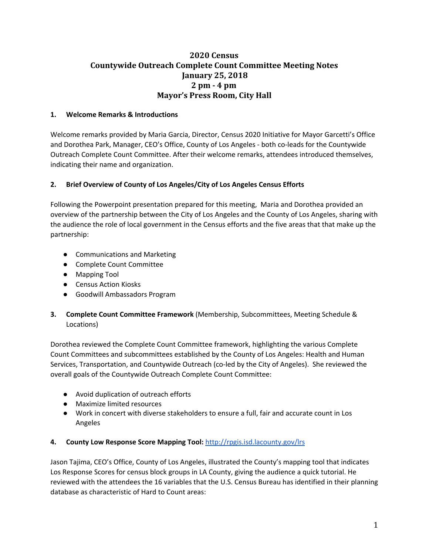# **2020 Census Countywide Outreach Complete Count Committee Meeting Notes January 25, 2018 2 pm - 4 pm Mayor's Press Room, City Hall**

## **1. Welcome Remarks & Introductions**

Welcome remarks provided by Maria Garcia, Director, Census 2020 Initiative for Mayor Garcetti's Office and Dorothea Park, Manager, CEO's Office, County of Los Angeles - both co-leads for the Countywide Outreach Complete Count Committee. After their welcome remarks, attendees introduced themselves, indicating their name and organization.

## **2. Brief Overview of County of Los Angeles/City of Los Angeles Census Efforts**

Following the Powerpoint presentation prepared for this meeting, Maria and Dorothea provided an overview of the partnership between the City of Los Angeles and the County of Los Angeles, sharing with the audience the role of local government in the Census efforts and the five areas that that make up the partnership:

- Communications and Marketing
- Complete Count Committee
- Mapping Tool
- Census Action Kiosks
- Goodwill Ambassadors Program
- **3. Complete Count Committee Framework** (Membership, Subcommittees, Meeting Schedule & Locations)

Dorothea reviewed the Complete Count Committee framework, highlighting the various Complete Count Committees and subcommittees established by the County of Los Angeles: Health and Human Services, Transportation, and Countywide Outreach (co-led by the City of Angeles). She reviewed the overall goals of the Countywide Outreach Complete Count Committee:

- Avoid duplication of outreach efforts
- Maximize limited resources
- Work in concert with diverse stakeholders to ensure a full, fair and accurate count in Los Angeles

## **4. County Low Response Score Mapping Tool:** [http://rpgis.isd.lacounty.gov/lrs](http://rpgis.isd.lacounty.gov/lrs/)

Jason Tajima, CEO's Office, County of Los Angeles, illustrated the County's mapping tool that indicates Los Response Scores for census block groups in LA County, giving the audience a quick tutorial. He reviewed with the attendees the 16 variables that the U.S. Census Bureau has identified in their planning database as characteristic of Hard to Count areas: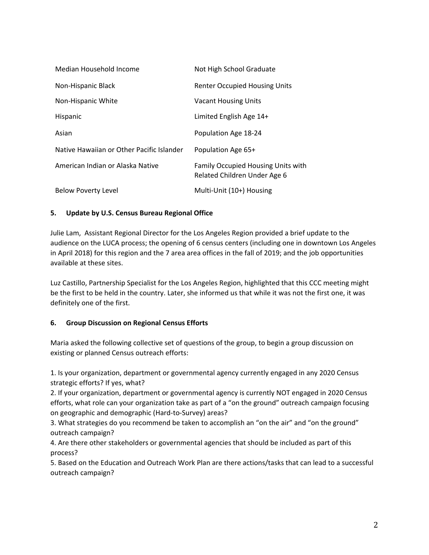| Median Household Income                   | Not High School Graduate                                           |
|-------------------------------------------|--------------------------------------------------------------------|
| Non-Hispanic Black                        | <b>Renter Occupied Housing Units</b>                               |
| Non-Hispanic White                        | <b>Vacant Housing Units</b>                                        |
| Hispanic                                  | Limited English Age 14+                                            |
| Asian                                     | Population Age 18-24                                               |
| Native Hawaiian or Other Pacific Islander | Population Age 65+                                                 |
| American Indian or Alaska Native          | Family Occupied Housing Units with<br>Related Children Under Age 6 |
| <b>Below Poverty Level</b>                | Multi-Unit (10+) Housing                                           |

## **5. Update by U.S. Census Bureau Regional Office**

Julie Lam, Assistant Regional Director for the Los Angeles Region provided a brief update to the audience on the LUCA process; the opening of 6 census centers (including one in downtown Los Angeles in April 2018) for this region and the 7 area area offices in the fall of 2019; and the job opportunities available at these sites.

Luz Castillo, Partnership Specialist for the Los Angeles Region, highlighted that this CCC meeting might be the first to be held in the country. Later, she informed us that while it was not the first one, it was definitely one of the first.

#### **6. Group Discussion on Regional Census Efforts**

Maria asked the following collective set of questions of the group, to begin a group discussion on existing or planned Census outreach efforts:

1. Is your organization, department or governmental agency currently engaged in any 2020 Census strategic efforts? If yes, what?

2. If your organization, department or governmental agency is currently NOT engaged in 2020 Census efforts, what role can your organization take as part of a "on the ground" outreach campaign focusing on geographic and demographic (Hard-to-Survey) areas?

3. What strategies do you recommend be taken to accomplish an "on the air" and "on the ground" outreach campaign?

4. Are there other stakeholders or governmental agencies that should be included as part of this process?

5. Based on the Education and Outreach Work Plan are there actions/tasks that can lead to a successful outreach campaign?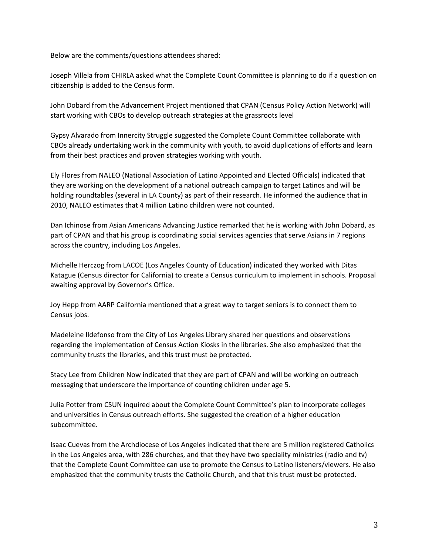Below are the comments/questions attendees shared:

Joseph Villela from CHIRLA asked what the Complete Count Committee is planning to do if a question on citizenship is added to the Census form.

John Dobard from the Advancement Project mentioned that CPAN (Census Policy Action Network) will start working with CBOs to develop outreach strategies at the grassroots level

Gypsy Alvarado from Innercity Struggle suggested the Complete Count Committee collaborate with CBOs already undertaking work in the community with youth, to avoid duplications of efforts and learn from their best practices and proven strategies working with youth.

Ely Flores from NALEO (National Association of Latino Appointed and Elected Officials) indicated that they are working on the development of a national outreach campaign to target Latinos and will be holding roundtables (several in LA County) as part of their research. He informed the audience that in 2010, NALEO estimates that 4 million Latino children were not counted.

Dan Ichinose from Asian Americans Advancing Justice remarked that he is working with John Dobard, as part of CPAN and that his group is coordinating social services agencies that serve Asians in 7 regions across the country, including Los Angeles.

Michelle Herczog from LACOE (Los Angeles County of Education) indicated they worked with Ditas Katague (Census director for California) to create a Census curriculum to implement in schools. Proposal awaiting approval by Governor's Office.

Joy Hepp from AARP California mentioned that a great way to target seniors is to connect them to Census jobs.

Madeleine Ildefonso from the City of Los Angeles Library shared her questions and observations regarding the implementation of Census Action Kiosks in the libraries. She also emphasized that the community trusts the libraries, and this trust must be protected.

Stacy Lee from Children Now indicated that they are part of CPAN and will be working on outreach messaging that underscore the importance of counting children under age 5.

Julia Potter from CSUN inquired about the Complete Count Committee's plan to incorporate colleges and universities in Census outreach efforts. She suggested the creation of a higher education subcommittee.

Isaac Cuevas from the Archdiocese of Los Angeles indicated that there are 5 million registered Catholics in the Los Angeles area, with 286 churches, and that they have two speciality ministries (radio and tv) that the Complete Count Committee can use to promote the Census to Latino listeners/viewers. He also emphasized that the community trusts the Catholic Church, and that this trust must be protected.